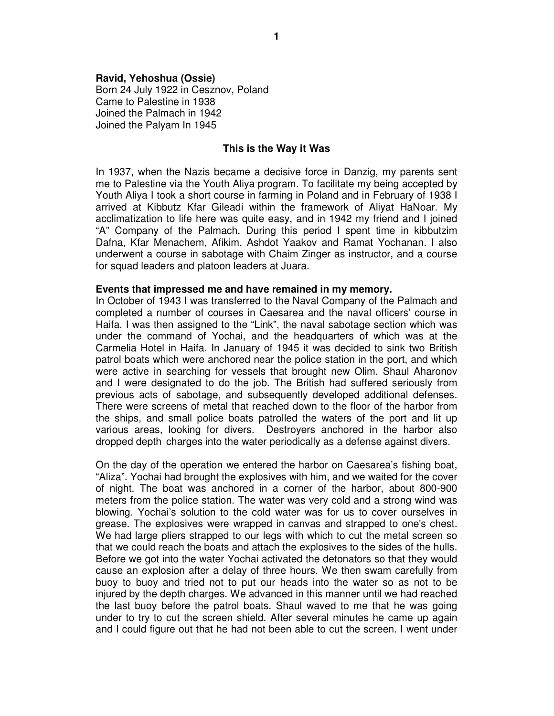## **Ravid, Yehoshua (Ossie)**

Born 24 July 1922 in Cesznov, Poland Came to Palestine in 1938 Joined the Palmach in 1942 Joined the Palyam In 1945

## **This is the Way it Was**

In 1937, when the Nazis became a decisive force in Danzig, my parents sent me to Palestine via the Youth Aliya program. To facilitate my being accepted by Youth Aliya I took a short course in farming in Poland and in February of 1938 I arrived at Kibbutz Kfar Gileadi within the framework of Aliyat HaNoar. My acclimatization to life here was quite easy, and in 1942 my friend and I joined "A" Company of the Palmach. During this period I spent time in kibbutzim Dafna, Kfar Menachem, Afikim, Ashdot Yaakov and Ramat Yochanan. I also underwent a course in sabotage with Chaim Zinger as instructor, and a course for squad leaders and platoon leaders at Juara.

## **Events that impressed me and have remained in my memory.**

In October of 1943 I was transferred to the Naval Company of the Palmach and completed a number of courses in Caesarea and the naval officers' course in Haifa. I was then assigned to the "Link", the naval sabotage section which was under the command of Yochai, and the headquarters of which was at the Carmelia Hotel in Haifa. In January of 1945 it was decided to sink two British patrol boats which were anchored near the police station in the port, and which were active in searching for vessels that brought new Olim. Shaul Aharonov and I were designated to do the job. The British had suffered seriously from previous acts of sabotage, and subsequently developed additional defenses. There were screens of metal that reached down to the floor of the harbor from the ships, and small police boats patrolled the waters of the port and lit up various areas, looking for divers. Destroyers anchored in the harbor also dropped depth charges into the water periodically as a defense against divers.

On the day of the operation we entered the harbor on Caesarea's fishing boat, "Aliza". Yochai had brought the explosives with him, and we waited for the cover of night. The boat was anchored in a corner of the harbor, about 800-900 meters from the police station. The water was very cold and a strong wind was blowing. Yochai's solution to the cold water was for us to cover ourselves in grease. The explosives were wrapped in canvas and strapped to one's chest. We had large pliers strapped to our legs with which to cut the metal screen so that we could reach the boats and attach the explosives to the sides of the hulls. Before we got into the water Yochai activated the detonators so that they would cause an explosion after a delay of three hours. We then swam carefully from buoy to buoy and tried not to put our heads into the water so as not to be injured by the depth charges. We advanced in this manner until we had reached the last buoy before the patrol boats. Shaul waved to me that he was going under to try to cut the screen shield. After several minutes he came up again and I could figure out that he had not been able to cut the screen. I went under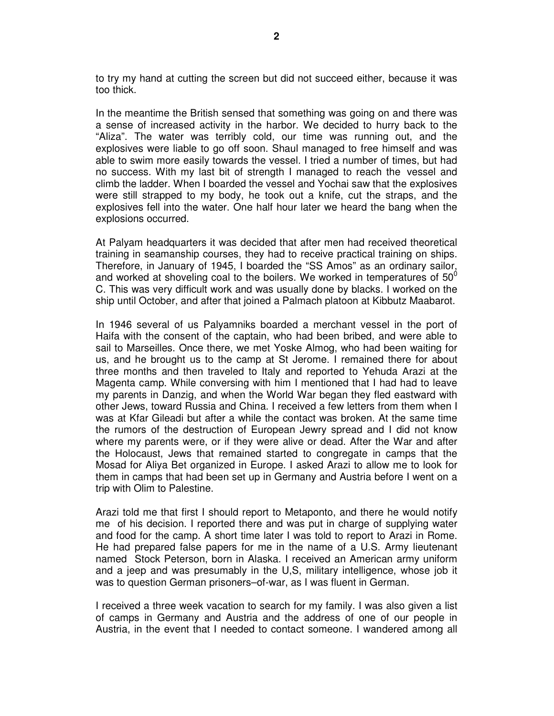to try my hand at cutting the screen but did not succeed either, because it was too thick.

In the meantime the British sensed that something was going on and there was a sense of increased activity in the harbor. We decided to hurry back to the "Aliza". The water was terribly cold, our time was running out, and the explosives were liable to go off soon. Shaul managed to free himself and was able to swim more easily towards the vessel. I tried a number of times, but had no success. With my last bit of strength I managed to reach the vessel and climb the ladder. When I boarded the vessel and Yochai saw that the explosives were still strapped to my body, he took out a knife, cut the straps, and the explosives fell into the water. One half hour later we heard the bang when the explosions occurred.

At Palyam headquarters it was decided that after men had received theoretical training in seamanship courses, they had to receive practical training on ships. Therefore, in January of 1945, I boarded the "SS Amos" as an ordinary sailor, and worked at shoveling coal to the boilers. We worked in temperatures of  $50^{\circ}$ C. This was very difficult work and was usually done by blacks. I worked on the ship until October, and after that joined a Palmach platoon at Kibbutz Maabarot.

In 1946 several of us Palyamniks boarded a merchant vessel in the port of Haifa with the consent of the captain, who had been bribed, and were able to sail to Marseilles. Once there, we met Yoske Almog, who had been waiting for us, and he brought us to the camp at St Jerome. I remained there for about three months and then traveled to Italy and reported to Yehuda Arazi at the Magenta camp. While conversing with him I mentioned that I had had to leave my parents in Danzig, and when the World War began they fled eastward with other Jews, toward Russia and China. I received a few letters from them when I was at Kfar Gileadi but after a while the contact was broken. At the same time the rumors of the destruction of European Jewry spread and I did not know where my parents were, or if they were alive or dead. After the War and after the Holocaust, Jews that remained started to congregate in camps that the Mosad for Aliya Bet organized in Europe. I asked Arazi to allow me to look for them in camps that had been set up in Germany and Austria before I went on a trip with Olim to Palestine.

Arazi told me that first I should report to Metaponto, and there he would notify me of his decision. I reported there and was put in charge of supplying water and food for the camp. A short time later I was told to report to Arazi in Rome. He had prepared false papers for me in the name of a U.S. Army lieutenant named Stock Peterson, born in Alaska. I received an American army uniform and a jeep and was presumably in the U,S, military intelligence, whose job it was to question German prisoners–of-war, as I was fluent in German.

I received a three week vacation to search for my family. I was also given a list of camps in Germany and Austria and the address of one of our people in Austria, in the event that I needed to contact someone. I wandered among all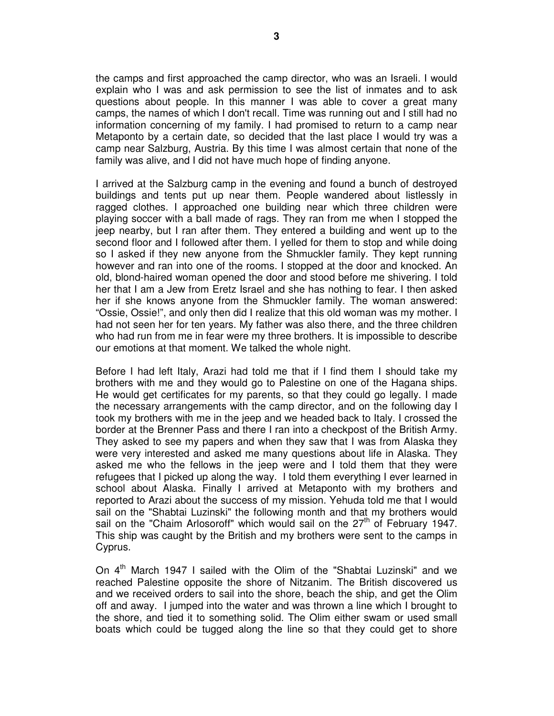the camps and first approached the camp director, who was an Israeli. I would explain who I was and ask permission to see the list of inmates and to ask questions about people. In this manner I was able to cover a great many camps, the names of which I don't recall. Time was running out and I still had no information concerning of my family. I had promised to return to a camp near Metaponto by a certain date, so decided that the last place I would try was a camp near Salzburg, Austria. By this time I was almost certain that none of the family was alive, and I did not have much hope of finding anyone.

I arrived at the Salzburg camp in the evening and found a bunch of destroyed buildings and tents put up near them. People wandered about listlessly in ragged clothes. I approached one building near which three children were playing soccer with a ball made of rags. They ran from me when I stopped the jeep nearby, but I ran after them. They entered a building and went up to the second floor and I followed after them. I yelled for them to stop and while doing so I asked if they new anyone from the Shmuckler family. They kept running however and ran into one of the rooms. I stopped at the door and knocked. An old, blond-haired woman opened the door and stood before me shivering. I told her that I am a Jew from Eretz Israel and she has nothing to fear. I then asked her if she knows anyone from the Shmuckler family. The woman answered: "Ossie, Ossie!", and only then did I realize that this old woman was my mother. I had not seen her for ten years. My father was also there, and the three children who had run from me in fear were my three brothers. It is impossible to describe our emotions at that moment. We talked the whole night.

Before I had left Italy, Arazi had told me that if I find them I should take my brothers with me and they would go to Palestine on one of the Hagana ships. He would get certificates for my parents, so that they could go legally. I made the necessary arrangements with the camp director, and on the following day I took my brothers with me in the jeep and we headed back to Italy. I crossed the border at the Brenner Pass and there I ran into a checkpost of the British Army. They asked to see my papers and when they saw that I was from Alaska they were very interested and asked me many questions about life in Alaska. They asked me who the fellows in the jeep were and I told them that they were refugees that I picked up along the way. I told them everything I ever learned in school about Alaska. Finally I arrived at Metaponto with my brothers and reported to Arazi about the success of my mission. Yehuda told me that I would sail on the "Shabtai Luzinski" the following month and that my brothers would sail on the "Chaim Arlosoroff" which would sail on the  $27<sup>th</sup>$  of February 1947. This ship was caught by the British and my brothers were sent to the camps in Cyprus.

On  $4<sup>th</sup>$  March 1947 I sailed with the Olim of the "Shabtai Luzinski" and we reached Palestine opposite the shore of Nitzanim. The British discovered us and we received orders to sail into the shore, beach the ship, and get the Olim off and away. I jumped into the water and was thrown a line which I brought to the shore, and tied it to something solid. The Olim either swam or used small boats which could be tugged along the line so that they could get to shore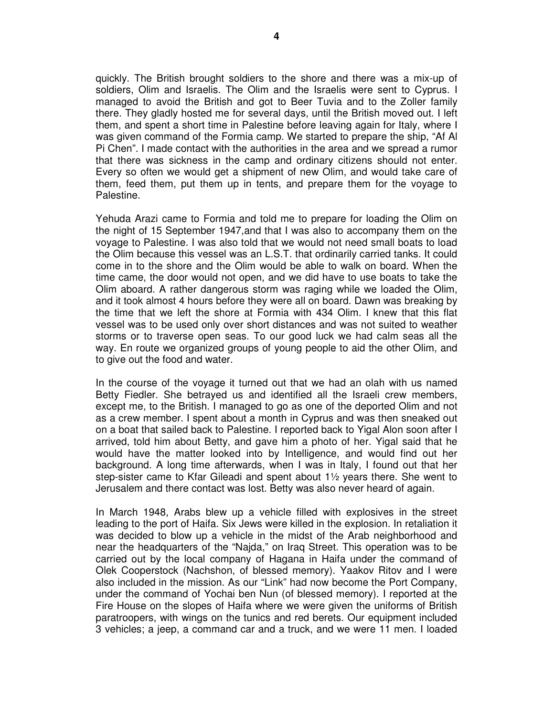quickly. The British brought soldiers to the shore and there was a mix-up of soldiers, Olim and Israelis. The Olim and the Israelis were sent to Cyprus. I managed to avoid the British and got to Beer Tuvia and to the Zoller family there. They gladly hosted me for several days, until the British moved out. I left them, and spent a short time in Palestine before leaving again for Italy, where I was given command of the Formia camp. We started to prepare the ship, "Af Al Pi Chen". I made contact with the authorities in the area and we spread a rumor that there was sickness in the camp and ordinary citizens should not enter. Every so often we would get a shipment of new Olim, and would take care of them, feed them, put them up in tents, and prepare them for the voyage to Palestine.

Yehuda Arazi came to Formia and told me to prepare for loading the Olim on the night of 15 September 1947,and that I was also to accompany them on the voyage to Palestine. I was also told that we would not need small boats to load the Olim because this vessel was an L.S.T. that ordinarily carried tanks. It could come in to the shore and the Olim would be able to walk on board. When the time came, the door would not open, and we did have to use boats to take the Olim aboard. A rather dangerous storm was raging while we loaded the Olim, and it took almost 4 hours before they were all on board. Dawn was breaking by the time that we left the shore at Formia with 434 Olim. I knew that this flat vessel was to be used only over short distances and was not suited to weather storms or to traverse open seas. To our good luck we had calm seas all the way. En route we organized groups of young people to aid the other Olim, and to give out the food and water.

In the course of the voyage it turned out that we had an olah with us named Betty Fiedler. She betrayed us and identified all the Israeli crew members, except me, to the British. I managed to go as one of the deported Olim and not as a crew member. I spent about a month in Cyprus and was then sneaked out on a boat that sailed back to Palestine. I reported back to Yigal Alon soon after I arrived, told him about Betty, and gave him a photo of her. Yigal said that he would have the matter looked into by Intelligence, and would find out her background. A long time afterwards, when I was in Italy, I found out that her step-sister came to Kfar Gileadi and spent about 1½ years there. She went to Jerusalem and there contact was lost. Betty was also never heard of again.

In March 1948, Arabs blew up a vehicle filled with explosives in the street leading to the port of Haifa. Six Jews were killed in the explosion. In retaliation it was decided to blow up a vehicle in the midst of the Arab neighborhood and near the headquarters of the "Najda," on Iraq Street. This operation was to be carried out by the local company of Hagana in Haifa under the command of Olek Cooperstock (Nachshon, of blessed memory). Yaakov Ritov and I were also included in the mission. As our "Link" had now become the Port Company, under the command of Yochai ben Nun (of blessed memory). I reported at the Fire House on the slopes of Haifa where we were given the uniforms of British paratroopers, with wings on the tunics and red berets. Our equipment included 3 vehicles; a jeep, a command car and a truck, and we were 11 men. I loaded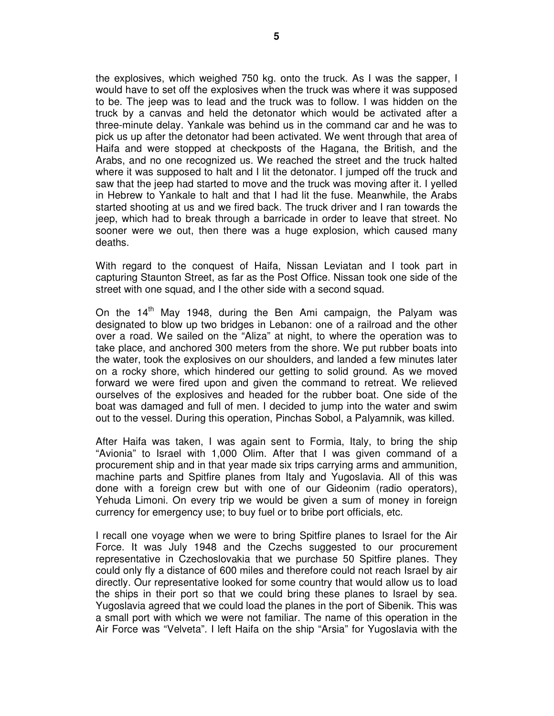the explosives, which weighed 750 kg. onto the truck. As I was the sapper, I would have to set off the explosives when the truck was where it was supposed to be. The jeep was to lead and the truck was to follow. I was hidden on the truck by a canvas and held the detonator which would be activated after a three-minute delay. Yankale was behind us in the command car and he was to pick us up after the detonator had been activated. We went through that area of Haifa and were stopped at checkposts of the Hagana, the British, and the Arabs, and no one recognized us. We reached the street and the truck halted where it was supposed to halt and I lit the detonator. I jumped off the truck and saw that the jeep had started to move and the truck was moving after it. I yelled in Hebrew to Yankale to halt and that I had lit the fuse. Meanwhile, the Arabs started shooting at us and we fired back. The truck driver and I ran towards the jeep, which had to break through a barricade in order to leave that street. No sooner were we out, then there was a huge explosion, which caused many deaths.

With regard to the conquest of Haifa, Nissan Leviatan and I took part in capturing Staunton Street, as far as the Post Office. Nissan took one side of the street with one squad, and I the other side with a second squad.

On the  $14<sup>th</sup>$  Mav 1948, during the Ben Ami campaign, the Palyam was designated to blow up two bridges in Lebanon: one of a railroad and the other over a road. We sailed on the "Aliza" at night, to where the operation was to take place, and anchored 300 meters from the shore. We put rubber boats into the water, took the explosives on our shoulders, and landed a few minutes later on a rocky shore, which hindered our getting to solid ground. As we moved forward we were fired upon and given the command to retreat. We relieved ourselves of the explosives and headed for the rubber boat. One side of the boat was damaged and full of men. I decided to jump into the water and swim out to the vessel. During this operation, Pinchas Sobol, a Palyamnik, was killed.

After Haifa was taken, I was again sent to Formia, Italy, to bring the ship "Avionia" to Israel with 1,000 Olim. After that I was given command of a procurement ship and in that year made six trips carrying arms and ammunition, machine parts and Spitfire planes from Italy and Yugoslavia. All of this was done with a foreign crew but with one of our Gideonim (radio operators), Yehuda Limoni. On every trip we would be given a sum of money in foreign currency for emergency use; to buy fuel or to bribe port officials, etc.

I recall one voyage when we were to bring Spitfire planes to Israel for the Air Force. It was July 1948 and the Czechs suggested to our procurement representative in Czechoslovakia that we purchase 50 Spitfire planes. They could only fly a distance of 600 miles and therefore could not reach Israel by air directly. Our representative looked for some country that would allow us to load the ships in their port so that we could bring these planes to Israel by sea. Yugoslavia agreed that we could load the planes in the port of Sibenik. This was a small port with which we were not familiar. The name of this operation in the Air Force was "Velveta". I left Haifa on the ship "Arsia" for Yugoslavia with the